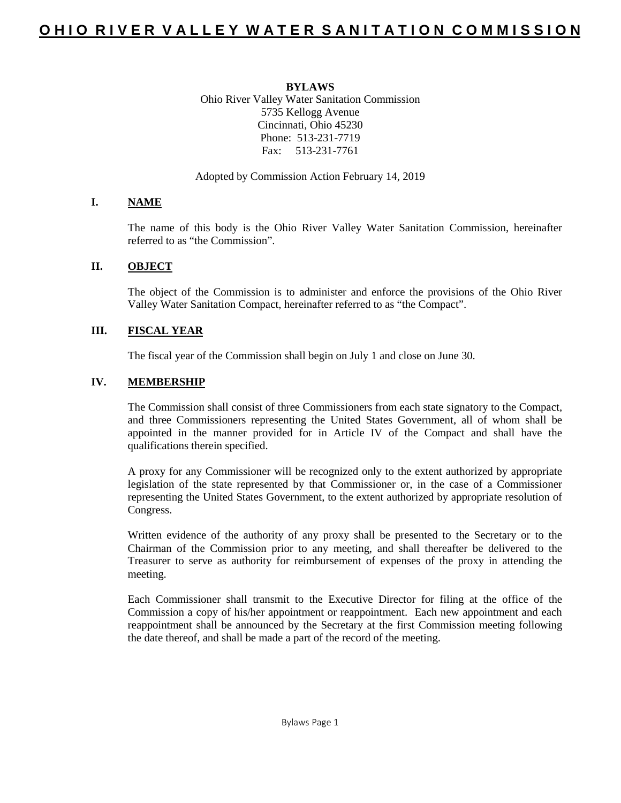#### **BYLAWS**

Ohio River Valley Water Sanitation Commission 5735 Kellogg Avenue Cincinnati, Ohio 45230 Phone: 513-231-7719 Fax: 513-231-7761

Adopted by Commission Action February 14, 2019

## **I. NAME**

The name of this body is the Ohio River Valley Water Sanitation Commission, hereinafter referred to as "the Commission".

## **II. OBJECT**

The object of the Commission is to administer and enforce the provisions of the Ohio River Valley Water Sanitation Compact, hereinafter referred to as "the Compact".

## **III. FISCAL YEAR**

The fiscal year of the Commission shall begin on July 1 and close on June 30.

## **IV. MEMBERSHIP**

The Commission shall consist of three Commissioners from each state signatory to the Compact, and three Commissioners representing the United States Government, all of whom shall be appointed in the manner provided for in Article IV of the Compact and shall have the qualifications therein specified.

A proxy for any Commissioner will be recognized only to the extent authorized by appropriate legislation of the state represented by that Commissioner or, in the case of a Commissioner representing the United States Government, to the extent authorized by appropriate resolution of Congress.

Written evidence of the authority of any proxy shall be presented to the Secretary or to the Chairman of the Commission prior to any meeting, and shall thereafter be delivered to the Treasurer to serve as authority for reimbursement of expenses of the proxy in attending the meeting.

Each Commissioner shall transmit to the Executive Director for filing at the office of the Commission a copy of his/her appointment or reappointment. Each new appointment and each reappointment shall be announced by the Secretary at the first Commission meeting following the date thereof, and shall be made a part of the record of the meeting.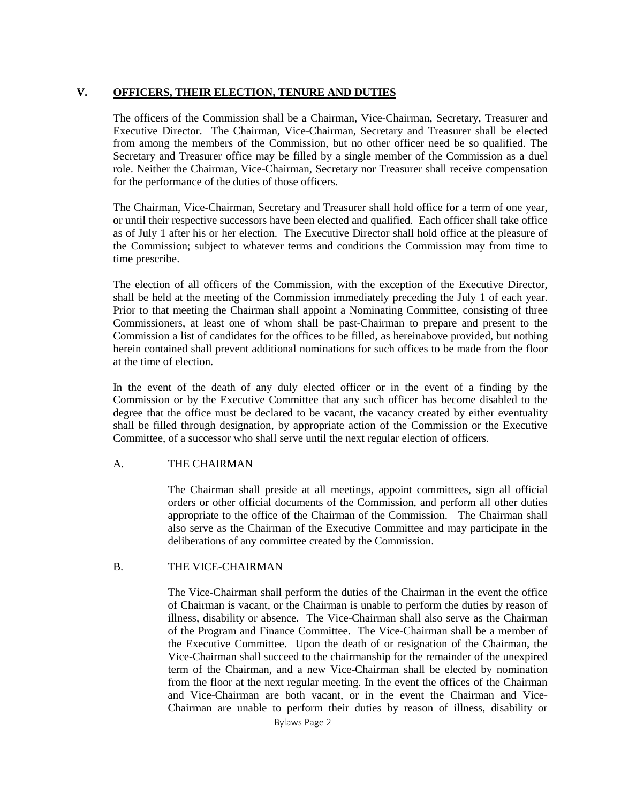## **V. OFFICERS, THEIR ELECTION, TENURE AND DUTIES**

The officers of the Commission shall be a Chairman, Vice-Chairman, Secretary, Treasurer and Executive Director. The Chairman, Vice-Chairman, Secretary and Treasurer shall be elected from among the members of the Commission, but no other officer need be so qualified. The Secretary and Treasurer office may be filled by a single member of the Commission as a duel role. Neither the Chairman, Vice-Chairman, Secretary nor Treasurer shall receive compensation for the performance of the duties of those officers.

The Chairman, Vice-Chairman, Secretary and Treasurer shall hold office for a term of one year, or until their respective successors have been elected and qualified. Each officer shall take office as of July 1 after his or her election. The Executive Director shall hold office at the pleasure of the Commission; subject to whatever terms and conditions the Commission may from time to time prescribe.

The election of all officers of the Commission, with the exception of the Executive Director, shall be held at the meeting of the Commission immediately preceding the July 1 of each year. Prior to that meeting the Chairman shall appoint a Nominating Committee, consisting of three Commissioners, at least one of whom shall be past-Chairman to prepare and present to the Commission a list of candidates for the offices to be filled, as hereinabove provided, but nothing herein contained shall prevent additional nominations for such offices to be made from the floor at the time of election.

In the event of the death of any duly elected officer or in the event of a finding by the Commission or by the Executive Committee that any such officer has become disabled to the degree that the office must be declared to be vacant, the vacancy created by either eventuality shall be filled through designation, by appropriate action of the Commission or the Executive Committee, of a successor who shall serve until the next regular election of officers.

## A. THE CHAIRMAN

The Chairman shall preside at all meetings, appoint committees, sign all official orders or other official documents of the Commission, and perform all other duties appropriate to the office of the Chairman of the Commission. The Chairman shall also serve as the Chairman of the Executive Committee and may participate in the deliberations of any committee created by the Commission.

### B. THE VICE-CHAIRMAN

The Vice-Chairman shall perform the duties of the Chairman in the event the office of Chairman is vacant, or the Chairman is unable to perform the duties by reason of illness, disability or absence. The Vice-Chairman shall also serve as the Chairman of the Program and Finance Committee. The Vice-Chairman shall be a member of the Executive Committee. Upon the death of or resignation of the Chairman, the Vice-Chairman shall succeed to the chairmanship for the remainder of the unexpired term of the Chairman, and a new Vice-Chairman shall be elected by nomination from the floor at the next regular meeting. In the event the offices of the Chairman and Vice-Chairman are both vacant, or in the event the Chairman and Vice-Chairman are unable to perform their duties by reason of illness, disability or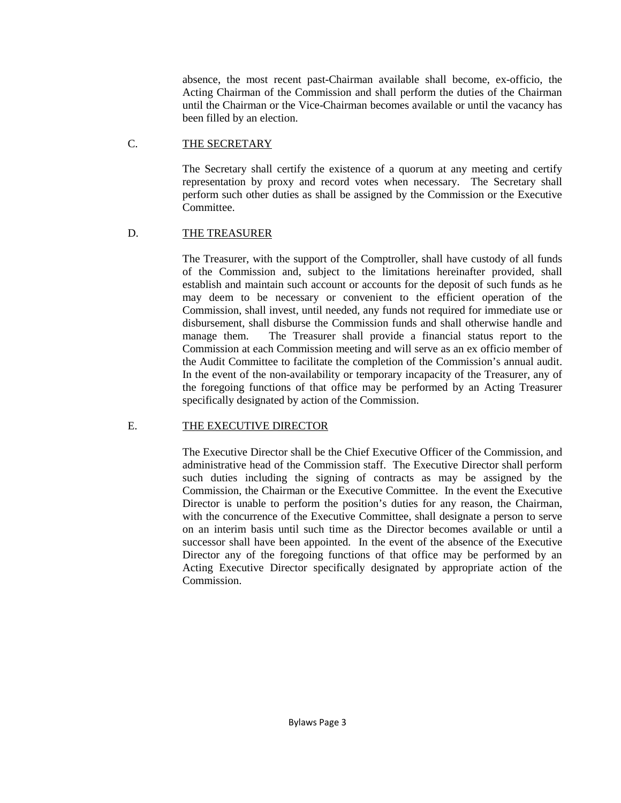absence, the most recent past-Chairman available shall become, ex-officio, the Acting Chairman of the Commission and shall perform the duties of the Chairman until the Chairman or the Vice-Chairman becomes available or until the vacancy has been filled by an election.

## C. THE SECRETARY

The Secretary shall certify the existence of a quorum at any meeting and certify representation by proxy and record votes when necessary. The Secretary shall perform such other duties as shall be assigned by the Commission or the Executive Committee.

## D. THE TREASURER

The Treasurer, with the support of the Comptroller, shall have custody of all funds of the Commission and, subject to the limitations hereinafter provided, shall establish and maintain such account or accounts for the deposit of such funds as he may deem to be necessary or convenient to the efficient operation of the Commission, shall invest, until needed, any funds not required for immediate use or disbursement, shall disburse the Commission funds and shall otherwise handle and manage them. The Treasurer shall provide a financial status report to the Commission at each Commission meeting and will serve as an ex officio member of the Audit Committee to facilitate the completion of the Commission's annual audit. In the event of the non-availability or temporary incapacity of the Treasurer, any of the foregoing functions of that office may be performed by an Acting Treasurer specifically designated by action of the Commission.

## E. THE EXECUTIVE DIRECTOR

The Executive Director shall be the Chief Executive Officer of the Commission, and administrative head of the Commission staff. The Executive Director shall perform such duties including the signing of contracts as may be assigned by the Commission, the Chairman or the Executive Committee. In the event the Executive Director is unable to perform the position's duties for any reason, the Chairman, with the concurrence of the Executive Committee, shall designate a person to serve on an interim basis until such time as the Director becomes available or until a successor shall have been appointed. In the event of the absence of the Executive Director any of the foregoing functions of that office may be performed by an Acting Executive Director specifically designated by appropriate action of the Commission.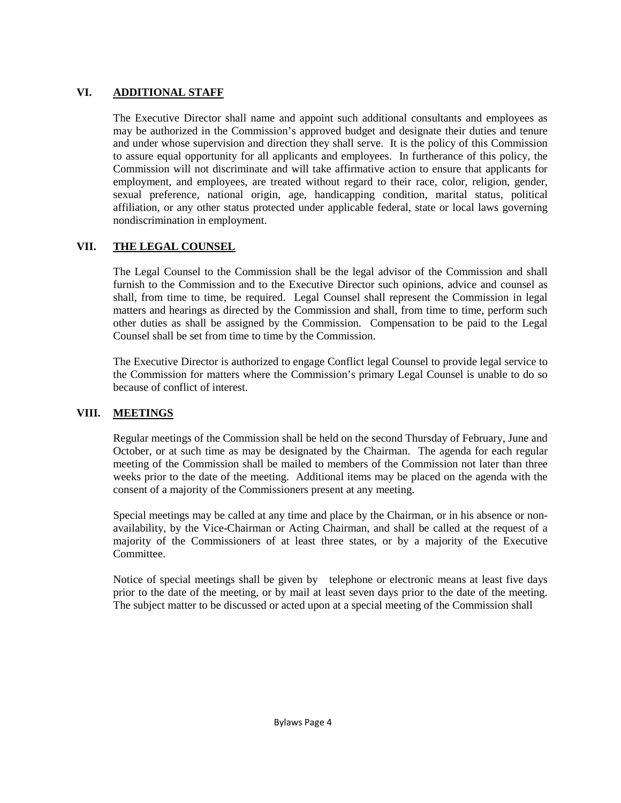# **VI. ADDITIONAL STAFF**

The Executive Director shall name and appoint such additional consultants and employees as may be authorized in the Commission's approved budget and designate their duties and tenure and under whose supervision and direction they shall serve. It is the policy of this Commission to assure equal opportunity for all applicants and employees. In furtherance of this policy, the Commission will not discriminate and will take affirmative action to ensure that applicants for employment, and employees, are treated without regard to their race, color, religion, gender, sexual preference, national origin, age, handicapping condition, marital status, political affiliation, or any other status protected under applicable federal, state or local laws governing nondiscrimination in employment.

# **VII. THE LEGAL COUNSEL**

The Legal Counsel to the Commission shall be the legal advisor of the Commission and shall furnish to the Commission and to the Executive Director such opinions, advice and counsel as shall, from time to time, be required. Legal Counsel shall represent the Commission in legal matters and hearings as directed by the Commission and shall, from time to time, perform such other duties as shall be assigned by the Commission. Compensation to be paid to the Legal Counsel shall be set from time to time by the Commission.

The Executive Director is authorized to engage Conflict legal Counsel to provide legal service to the Commission for matters where the Commission's primary Legal Counsel is unable to do so because of conflict of interest.

# **VIII. MEETINGS**

Regular meetings of the Commission shall be held on the second Thursday of February, June and October, or at such time as may be designated by the Chairman. The agenda for each regular meeting of the Commission shall be mailed to members of the Commission not later than three weeks prior to the date of the meeting. Additional items may be placed on the agenda with the consent of a majority of the Commissioners present at any meeting.

Special meetings may be called at any time and place by the Chairman, or in his absence or nonavailability, by the Vice-Chairman or Acting Chairman, and shall be called at the request of a majority of the Commissioners of at least three states, or by a majority of the Executive Committee.

Notice of special meetings shall be given by telephone or electronic means at least five days prior to the date of the meeting, or by mail at least seven days prior to the date of the meeting. The subject matter to be discussed or acted upon at a special meeting of the Commission shall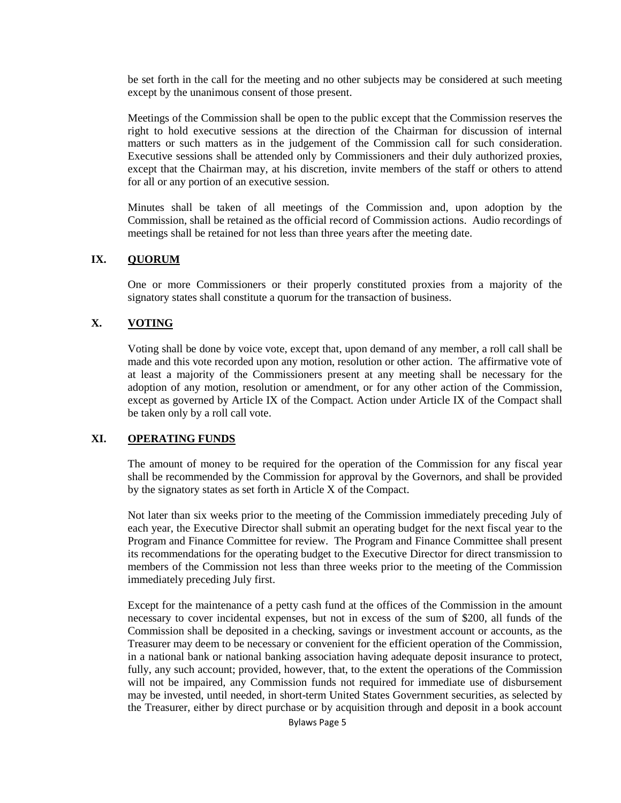be set forth in the call for the meeting and no other subjects may be considered at such meeting except by the unanimous consent of those present.

Meetings of the Commission shall be open to the public except that the Commission reserves the right to hold executive sessions at the direction of the Chairman for discussion of internal matters or such matters as in the judgement of the Commission call for such consideration. Executive sessions shall be attended only by Commissioners and their duly authorized proxies, except that the Chairman may, at his discretion, invite members of the staff or others to attend for all or any portion of an executive session.

Minutes shall be taken of all meetings of the Commission and, upon adoption by the Commission, shall be retained as the official record of Commission actions. Audio recordings of meetings shall be retained for not less than three years after the meeting date.

### **IX. QUORUM**

One or more Commissioners or their properly constituted proxies from a majority of the signatory states shall constitute a quorum for the transaction of business.

### **X. VOTING**

Voting shall be done by voice vote, except that, upon demand of any member, a roll call shall be made and this vote recorded upon any motion, resolution or other action. The affirmative vote of at least a majority of the Commissioners present at any meeting shall be necessary for the adoption of any motion, resolution or amendment, or for any other action of the Commission, except as governed by Article IX of the Compact. Action under Article IX of the Compact shall be taken only by a roll call vote.

### **XI. OPERATING FUNDS**

The amount of money to be required for the operation of the Commission for any fiscal year shall be recommended by the Commission for approval by the Governors, and shall be provided by the signatory states as set forth in Article X of the Compact.

Not later than six weeks prior to the meeting of the Commission immediately preceding July of each year, the Executive Director shall submit an operating budget for the next fiscal year to the Program and Finance Committee for review. The Program and Finance Committee shall present its recommendations for the operating budget to the Executive Director for direct transmission to members of the Commission not less than three weeks prior to the meeting of the Commission immediately preceding July first.

Except for the maintenance of a petty cash fund at the offices of the Commission in the amount necessary to cover incidental expenses, but not in excess of the sum of \$200, all funds of the Commission shall be deposited in a checking, savings or investment account or accounts, as the Treasurer may deem to be necessary or convenient for the efficient operation of the Commission, in a national bank or national banking association having adequate deposit insurance to protect, fully, any such account; provided, however, that, to the extent the operations of the Commission will not be impaired, any Commission funds not required for immediate use of disbursement may be invested, until needed, in short-term United States Government securities, as selected by the Treasurer, either by direct purchase or by acquisition through and deposit in a book account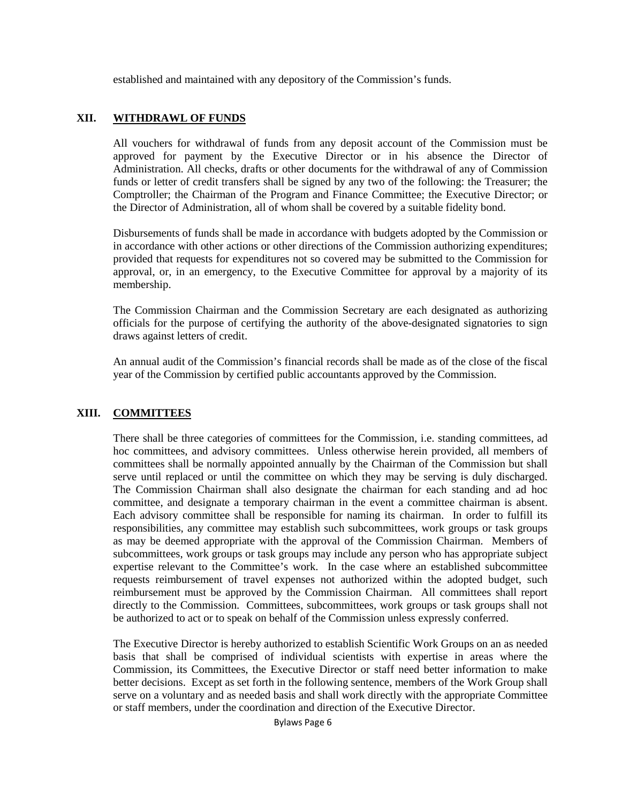established and maintained with any depository of the Commission's funds.

## **XII. WITHDRAWL OF FUNDS**

All vouchers for withdrawal of funds from any deposit account of the Commission must be approved for payment by the Executive Director or in his absence the Director of Administration. All checks, drafts or other documents for the withdrawal of any of Commission funds or letter of credit transfers shall be signed by any two of the following: the Treasurer; the Comptroller; the Chairman of the Program and Finance Committee; the Executive Director; or the Director of Administration, all of whom shall be covered by a suitable fidelity bond.

Disbursements of funds shall be made in accordance with budgets adopted by the Commission or in accordance with other actions or other directions of the Commission authorizing expenditures; provided that requests for expenditures not so covered may be submitted to the Commission for approval, or, in an emergency, to the Executive Committee for approval by a majority of its membership.

The Commission Chairman and the Commission Secretary are each designated as authorizing officials for the purpose of certifying the authority of the above-designated signatories to sign draws against letters of credit.

An annual audit of the Commission's financial records shall be made as of the close of the fiscal year of the Commission by certified public accountants approved by the Commission.

# **XIII. COMMITTEES**

There shall be three categories of committees for the Commission, i.e. standing committees, ad hoc committees, and advisory committees. Unless otherwise herein provided, all members of committees shall be normally appointed annually by the Chairman of the Commission but shall serve until replaced or until the committee on which they may be serving is duly discharged. The Commission Chairman shall also designate the chairman for each standing and ad hoc committee, and designate a temporary chairman in the event a committee chairman is absent. Each advisory committee shall be responsible for naming its chairman. In order to fulfill its responsibilities, any committee may establish such subcommittees, work groups or task groups as may be deemed appropriate with the approval of the Commission Chairman. Members of subcommittees, work groups or task groups may include any person who has appropriate subject expertise relevant to the Committee's work. In the case where an established subcommittee requests reimbursement of travel expenses not authorized within the adopted budget, such reimbursement must be approved by the Commission Chairman. All committees shall report directly to the Commission. Committees, subcommittees, work groups or task groups shall not be authorized to act or to speak on behalf of the Commission unless expressly conferred.

The Executive Director is hereby authorized to establish Scientific Work Groups on an as needed basis that shall be comprised of individual scientists with expertise in areas where the Commission, its Committees, the Executive Director or staff need better information to make better decisions. Except as set forth in the following sentence, members of the Work Group shall serve on a voluntary and as needed basis and shall work directly with the appropriate Committee or staff members, under the coordination and direction of the Executive Director.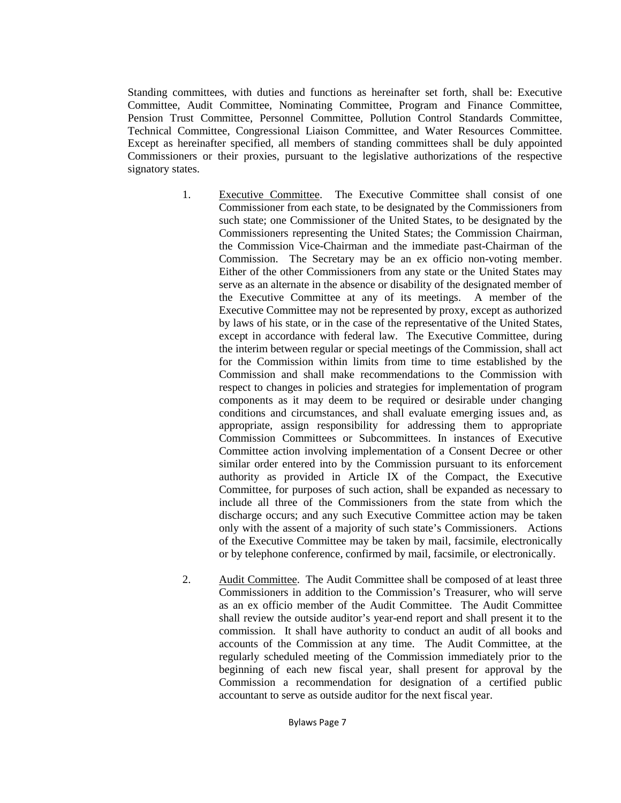Standing committees, with duties and functions as hereinafter set forth, shall be: Executive Committee, Audit Committee, Nominating Committee, Program and Finance Committee, Pension Trust Committee, Personnel Committee, Pollution Control Standards Committee, Technical Committee, Congressional Liaison Committee, and Water Resources Committee. Except as hereinafter specified, all members of standing committees shall be duly appointed Commissioners or their proxies, pursuant to the legislative authorizations of the respective signatory states.

- 1. Executive Committee. The Executive Committee shall consist of one Commissioner from each state, to be designated by the Commissioners from such state; one Commissioner of the United States, to be designated by the Commissioners representing the United States; the Commission Chairman, the Commission Vice-Chairman and the immediate past-Chairman of the Commission. The Secretary may be an ex officio non-voting member. Either of the other Commissioners from any state or the United States may serve as an alternate in the absence or disability of the designated member of the Executive Committee at any of its meetings. A member of the Executive Committee may not be represented by proxy, except as authorized by laws of his state, or in the case of the representative of the United States, except in accordance with federal law. The Executive Committee, during the interim between regular or special meetings of the Commission, shall act for the Commission within limits from time to time established by the Commission and shall make recommendations to the Commission with respect to changes in policies and strategies for implementation of program components as it may deem to be required or desirable under changing conditions and circumstances, and shall evaluate emerging issues and, as appropriate, assign responsibility for addressing them to appropriate Commission Committees or Subcommittees. In instances of Executive Committee action involving implementation of a Consent Decree or other similar order entered into by the Commission pursuant to its enforcement authority as provided in Article IX of the Compact, the Executive Committee, for purposes of such action, shall be expanded as necessary to include all three of the Commissioners from the state from which the discharge occurs; and any such Executive Committee action may be taken only with the assent of a majority of such state's Commissioners. Actions of the Executive Committee may be taken by mail, facsimile, electronically or by telephone conference, confirmed by mail, facsimile, or electronically.
- 2. Audit Committee. The Audit Committee shall be composed of at least three Commissioners in addition to the Commission's Treasurer, who will serve as an ex officio member of the Audit Committee. The Audit Committee shall review the outside auditor's year-end report and shall present it to the commission. It shall have authority to conduct an audit of all books and accounts of the Commission at any time. The Audit Committee, at the regularly scheduled meeting of the Commission immediately prior to the beginning of each new fiscal year, shall present for approval by the Commission a recommendation for designation of a certified public accountant to serve as outside auditor for the next fiscal year.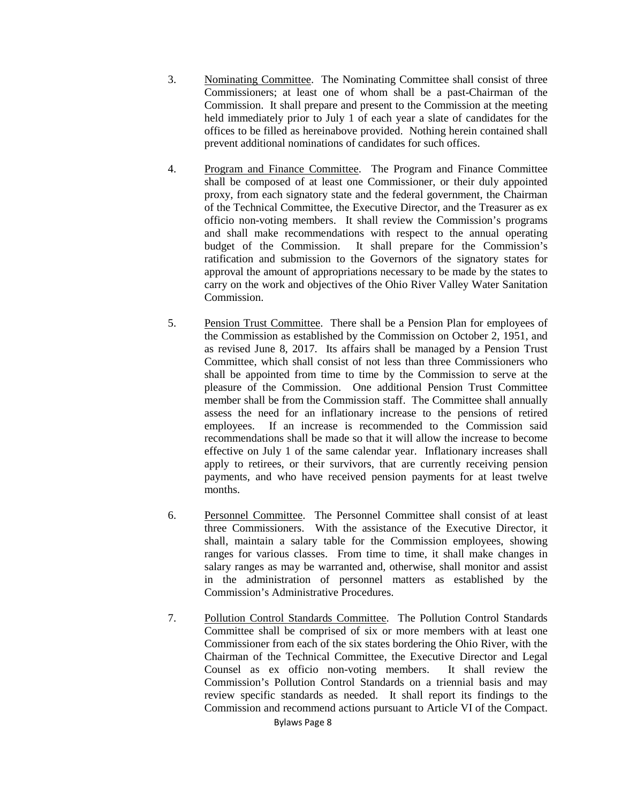- 3. Nominating Committee. The Nominating Committee shall consist of three Commissioners; at least one of whom shall be a past-Chairman of the Commission. It shall prepare and present to the Commission at the meeting held immediately prior to July 1 of each year a slate of candidates for the offices to be filled as hereinabove provided. Nothing herein contained shall prevent additional nominations of candidates for such offices.
- 4. Program and Finance Committee. The Program and Finance Committee shall be composed of at least one Commissioner, or their duly appointed proxy, from each signatory state and the federal government, the Chairman of the Technical Committee, the Executive Director, and the Treasurer as ex officio non-voting members. It shall review the Commission's programs and shall make recommendations with respect to the annual operating budget of the Commission. It shall prepare for the Commission's ratification and submission to the Governors of the signatory states for approval the amount of appropriations necessary to be made by the states to carry on the work and objectives of the Ohio River Valley Water Sanitation Commission.
- 5. Pension Trust Committee. There shall be a Pension Plan for employees of the Commission as established by the Commission on October 2, 1951, and as revised June 8, 2017. Its affairs shall be managed by a Pension Trust Committee, which shall consist of not less than three Commissioners who shall be appointed from time to time by the Commission to serve at the pleasure of the Commission. One additional Pension Trust Committee member shall be from the Commission staff. The Committee shall annually assess the need for an inflationary increase to the pensions of retired employees. If an increase is recommended to the Commission said recommendations shall be made so that it will allow the increase to become effective on July 1 of the same calendar year. Inflationary increases shall apply to retirees, or their survivors, that are currently receiving pension payments, and who have received pension payments for at least twelve months.
- 6. Personnel Committee. The Personnel Committee shall consist of at least three Commissioners. With the assistance of the Executive Director, it shall, maintain a salary table for the Commission employees, showing ranges for various classes. From time to time, it shall make changes in salary ranges as may be warranted and, otherwise, shall monitor and assist in the administration of personnel matters as established by the Commission's Administrative Procedures.
- 7. Pollution Control Standards Committee. The Pollution Control Standards Committee shall be comprised of six or more members with at least one Commissioner from each of the six states bordering the Ohio River, with the Chairman of the Technical Committee, the Executive Director and Legal Counsel as ex officio non-voting members. It shall review the Commission's Pollution Control Standards on a triennial basis and may review specific standards as needed. It shall report its findings to the Commission and recommend actions pursuant to Article VI of the Compact.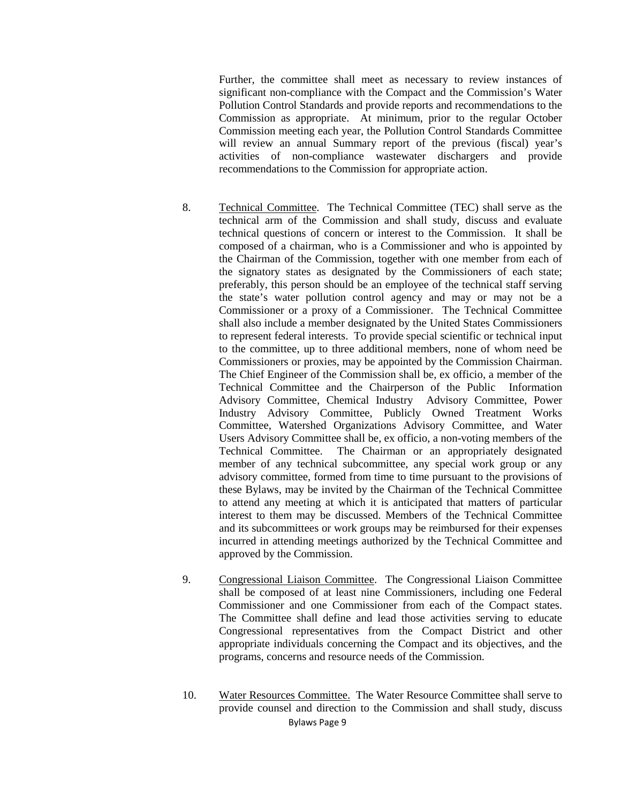Further, the committee shall meet as necessary to review instances of significant non-compliance with the Compact and the Commission's Water Pollution Control Standards and provide reports and recommendations to the Commission as appropriate. At minimum, prior to the regular October Commission meeting each year, the Pollution Control Standards Committee will review an annual Summary report of the previous (fiscal) year's activities of non-compliance wastewater dischargers and provide recommendations to the Commission for appropriate action.

- 8. Technical Committee. The Technical Committee (TEC) shall serve as the technical arm of the Commission and shall study, discuss and evaluate technical questions of concern or interest to the Commission. It shall be composed of a chairman, who is a Commissioner and who is appointed by the Chairman of the Commission, together with one member from each of the signatory states as designated by the Commissioners of each state; preferably, this person should be an employee of the technical staff serving the state's water pollution control agency and may or may not be a Commissioner or a proxy of a Commissioner. The Technical Committee shall also include a member designated by the United States Commissioners to represent federal interests. To provide special scientific or technical input to the committee, up to three additional members, none of whom need be Commissioners or proxies, may be appointed by the Commission Chairman. The Chief Engineer of the Commission shall be, ex officio, a member of the Technical Committee and the Chairperson of the Public Information Advisory Committee, Chemical Industry Advisory Committee, Power Industry Advisory Committee, Publicly Owned Treatment Works Committee, Watershed Organizations Advisory Committee, and Water Users Advisory Committee shall be, ex officio, a non-voting members of the Technical Committee. The Chairman or an appropriately designated member of any technical subcommittee, any special work group or any advisory committee, formed from time to time pursuant to the provisions of these Bylaws, may be invited by the Chairman of the Technical Committee to attend any meeting at which it is anticipated that matters of particular interest to them may be discussed. Members of the Technical Committee and its subcommittees or work groups may be reimbursed for their expenses incurred in attending meetings authorized by the Technical Committee and approved by the Commission.
- 9. Congressional Liaison Committee. The Congressional Liaison Committee shall be composed of at least nine Commissioners, including one Federal Commissioner and one Commissioner from each of the Compact states. The Committee shall define and lead those activities serving to educate Congressional representatives from the Compact District and other appropriate individuals concerning the Compact and its objectives, and the programs, concerns and resource needs of the Commission.
- Bylaws Page 9 10. Water Resources Committee. The Water Resource Committee shall serve to provide counsel and direction to the Commission and shall study, discuss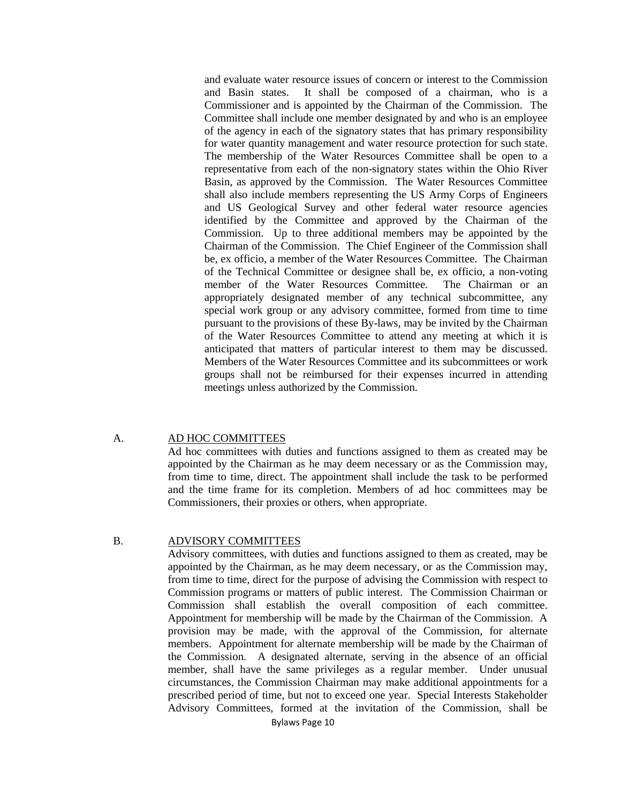and evaluate water resource issues of concern or interest to the Commission and Basin states. It shall be composed of a chairman, who is a Commissioner and is appointed by the Chairman of the Commission. The Committee shall include one member designated by and who is an employee of the agency in each of the signatory states that has primary responsibility for water quantity management and water resource protection for such state. The membership of the Water Resources Committee shall be open to a representative from each of the non-signatory states within the Ohio River Basin, as approved by the Commission. The Water Resources Committee shall also include members representing the US Army Corps of Engineers and US Geological Survey and other federal water resource agencies identified by the Committee and approved by the Chairman of the Commission. Up to three additional members may be appointed by the Chairman of the Commission. The Chief Engineer of the Commission shall be, ex officio, a member of the Water Resources Committee. The Chairman of the Technical Committee or designee shall be, ex officio, a non-voting member of the Water Resources Committee. The Chairman or an appropriately designated member of any technical subcommittee, any special work group or any advisory committee, formed from time to time pursuant to the provisions of these By-laws, may be invited by the Chairman of the Water Resources Committee to attend any meeting at which it is anticipated that matters of particular interest to them may be discussed. Members of the Water Resources Committee and its subcommittees or work groups shall not be reimbursed for their expenses incurred in attending meetings unless authorized by the Commission.

### A. AD HOC COMMITTEES

Ad hoc committees with duties and functions assigned to them as created may be appointed by the Chairman as he may deem necessary or as the Commission may, from time to time, direct. The appointment shall include the task to be performed and the time frame for its completion. Members of ad hoc committees may be Commissioners, their proxies or others, when appropriate.

### B. ADVISORY COMMITTEES

Advisory committees, with duties and functions assigned to them as created, may be appointed by the Chairman, as he may deem necessary, or as the Commission may, from time to time, direct for the purpose of advising the Commission with respect to Commission programs or matters of public interest. The Commission Chairman or Commission shall establish the overall composition of each committee. Appointment for membership will be made by the Chairman of the Commission. A provision may be made, with the approval of the Commission, for alternate members. Appointment for alternate membership will be made by the Chairman of the Commission. A designated alternate, serving in the absence of an official member, shall have the same privileges as a regular member. Under unusual circumstances, the Commission Chairman may make additional appointments for a prescribed period of time, but not to exceed one year. Special Interests Stakeholder Advisory Committees, formed at the invitation of the Commission, shall be

Bylaws Page 10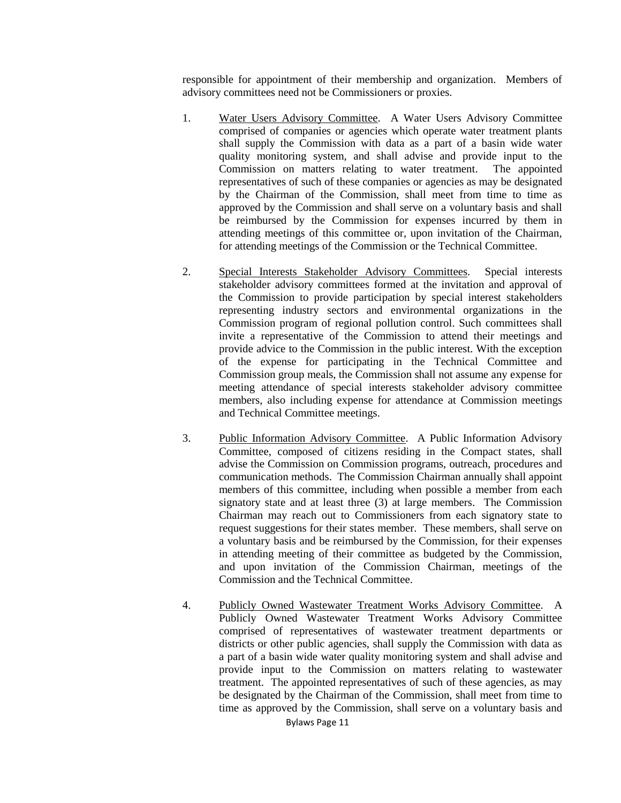responsible for appointment of their membership and organization. Members of advisory committees need not be Commissioners or proxies.

- 1. Water Users Advisory Committee. A Water Users Advisory Committee comprised of companies or agencies which operate water treatment plants shall supply the Commission with data as a part of a basin wide water quality monitoring system, and shall advise and provide input to the Commission on matters relating to water treatment. The appointed representatives of such of these companies or agencies as may be designated by the Chairman of the Commission, shall meet from time to time as approved by the Commission and shall serve on a voluntary basis and shall be reimbursed by the Commission for expenses incurred by them in attending meetings of this committee or, upon invitation of the Chairman, for attending meetings of the Commission or the Technical Committee.
- 2. Special Interests Stakeholder Advisory Committees. Special interests stakeholder advisory committees formed at the invitation and approval of the Commission to provide participation by special interest stakeholders representing industry sectors and environmental organizations in the Commission program of regional pollution control. Such committees shall invite a representative of the Commission to attend their meetings and provide advice to the Commission in the public interest. With the exception of the expense for participating in the Technical Committee and Commission group meals, the Commission shall not assume any expense for meeting attendance of special interests stakeholder advisory committee members, also including expense for attendance at Commission meetings and Technical Committee meetings.
- 3. Public Information Advisory Committee. A Public Information Advisory Committee, composed of citizens residing in the Compact states, shall advise the Commission on Commission programs, outreach, procedures and communication methods. The Commission Chairman annually shall appoint members of this committee, including when possible a member from each signatory state and at least three (3) at large members. The Commission Chairman may reach out to Commissioners from each signatory state to request suggestions for their states member. These members, shall serve on a voluntary basis and be reimbursed by the Commission, for their expenses in attending meeting of their committee as budgeted by the Commission, and upon invitation of the Commission Chairman, meetings of the Commission and the Technical Committee.
- 4. Publicly Owned Wastewater Treatment Works Advisory Committee. A Publicly Owned Wastewater Treatment Works Advisory Committee comprised of representatives of wastewater treatment departments or districts or other public agencies, shall supply the Commission with data as a part of a basin wide water quality monitoring system and shall advise and provide input to the Commission on matters relating to wastewater treatment. The appointed representatives of such of these agencies, as may be designated by the Chairman of the Commission, shall meet from time to time as approved by the Commission, shall serve on a voluntary basis and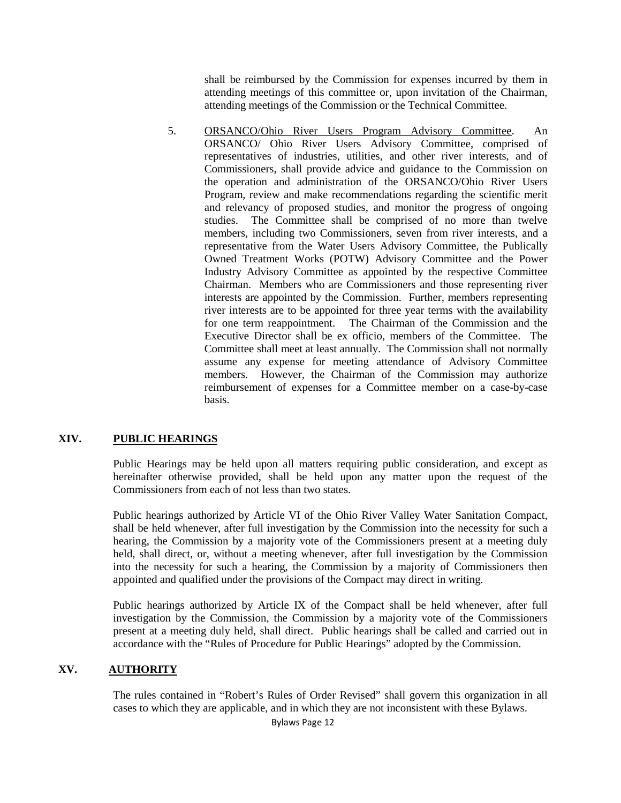shall be reimbursed by the Commission for expenses incurred by them in attending meetings of this committee or, upon invitation of the Chairman, attending meetings of the Commission or the Technical Committee.

5. ORSANCO/Ohio River Users Program Advisory Committee. An ORSANCO/ Ohio River Users Advisory Committee, comprised of representatives of industries, utilities, and other river interests, and of Commissioners, shall provide advice and guidance to the Commission on the operation and administration of the ORSANCO/Ohio River Users Program, review and make recommendations regarding the scientific merit and relevancy of proposed studies, and monitor the progress of ongoing studies. The Committee shall be comprised of no more than twelve members, including two Commissioners, seven from river interests, and a representative from the Water Users Advisory Committee, the Publically Owned Treatment Works (POTW) Advisory Committee and the Power Industry Advisory Committee as appointed by the respective Committee Chairman. Members who are Commissioners and those representing river interests are appointed by the Commission. Further, members representing river interests are to be appointed for three year terms with the availability for one term reappointment. The Chairman of the Commission and the The Chairman of the Commission and the Executive Director shall be ex officio, members of the Committee. The Committee shall meet at least annually. The Commission shall not normally assume any expense for meeting attendance of Advisory Committee members. However, the Chairman of the Commission may authorize reimbursement of expenses for a Committee member on a case-by-case basis.

## **XIV. PUBLIC HEARINGS**

Public Hearings may be held upon all matters requiring public consideration, and except as hereinafter otherwise provided, shall be held upon any matter upon the request of the Commissioners from each of not less than two states.

Public hearings authorized by Article VI of the Ohio River Valley Water Sanitation Compact, shall be held whenever, after full investigation by the Commission into the necessity for such a hearing, the Commission by a majority vote of the Commissioners present at a meeting duly held, shall direct, or, without a meeting whenever, after full investigation by the Commission into the necessity for such a hearing, the Commission by a majority of Commissioners then appointed and qualified under the provisions of the Compact may direct in writing.

Public hearings authorized by Article IX of the Compact shall be held whenever, after full investigation by the Commission, the Commission by a majority vote of the Commissioners present at a meeting duly held, shall direct. Public hearings shall be called and carried out in accordance with the "Rules of Procedure for Public Hearings" adopted by the Commission.

## **XV. AUTHORITY**

The rules contained in "Robert's Rules of Order Revised" shall govern this organization in all cases to which they are applicable, and in which they are not inconsistent with these Bylaws.